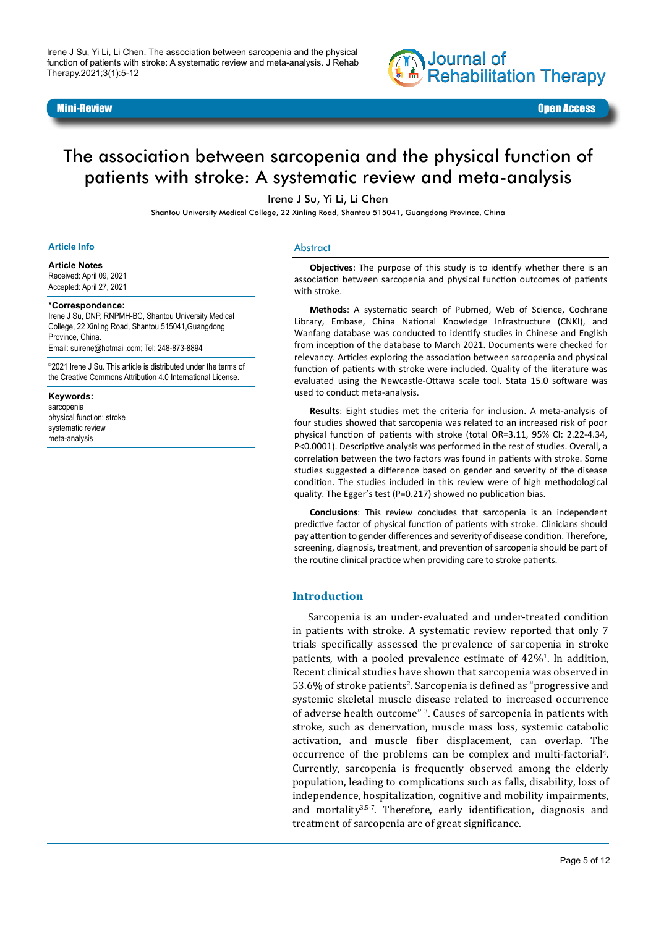

#### Mini-Review Open Access

# The association between sarcopenia and the physical function of patients with stroke: A systematic review and meta-analysis

Irene J Su, Yi Li, Li Chen

Shantou University Medical College, 22 Xinling Road, Shantou 515041, Guangdong Province, China

#### **Article Info**

**Article Notes** Received: April 09, 2021 Accepted: April 27, 2021

#### **\*Correspondence:**

Irene J Su, DNP, RNPMH-BC, Shantou University Medical College, 22 Xinling Road, Shantou 515041,Guangdong Province, China. Email: suirene@hotmail.com; Tel: 248-873-8894

©2021 Irene J Su. This article is distributed under the terms of the Creative Commons Attribution 4.0 International License.

#### **Keywords:**

sarcopenia physical function; stroke systematic review meta-analysis

#### Abstract

**Objectives**: The purpose of this study is to identify whether there is an association between sarcopenia and physical function outcomes of patients with stroke.

**Methods**: A systematic search of Pubmed, Web of Science, Cochrane Library, Embase, China National Knowledge Infrastructure (CNKI), and Wanfang database was conducted to identify studies in Chinese and English from inception of the database to March 2021. Documents were checked for relevancy. Articles exploring the association between sarcopenia and physical function of patients with stroke were included. Quality of the literature was evaluated using the Newcastle-Ottawa scale tool. Stata 15.0 software was used to conduct meta-analysis.

**Results**: Eight studies met the criteria for inclusion. A meta-analysis of four studies showed that sarcopenia was related to an increased risk of poor physical function of patients with stroke (total OR=3.11, 95% CI: 2.22-4.34, P<0.0001). Descriptive analysis was performed in the rest of studies. Overall, a correlation between the two factors was found in patients with stroke. Some studies suggested a difference based on gender and severity of the disease condition. The studies included in this review were of high methodological quality. The Egger's test (P=0.217) showed no publication bias.

**Conclusions**: This review concludes that sarcopenia is an independent predictive factor of physical function of patients with stroke. Clinicians should pay attention to gender differences and severity of disease condition. Therefore, screening, diagnosis, treatment, and prevention of sarcopenia should be part of the routine clinical practice when providing care to stroke patients.

## **Introduction**

Sarcopenia is an under-evaluated and under-treated condition in patients with stroke. A systematic review reported that only 7 trials specifically assessed the prevalence of sarcopenia in stroke patients, with a pooled prevalence estimate of  $42\%$ <sup>1</sup>. In addition, Recent clinical studies have shown that sarcopenia was observed in 53.6% of stroke patients<sup>2</sup>. Sarcopenia is defined as "progressive and systemic skeletal muscle disease related to increased occurrence of adverse health outcome" <sup>3</sup> . Causes of sarcopenia in patients with stroke, such as denervation, muscle mass loss, systemic catabolic activation, and muscle fiber displacement, can overlap. The occurrence of the problems can be complex and multi-factorial<sup>4</sup>. Currently, sarcopenia is frequently observed among the elderly population, leading to complications such as falls, disability, loss of independence, hospitalization, cognitive and mobility impairments, and mortality<sup>3,5-7</sup>. Therefore, early identification, diagnosis and treatment of sarcopenia are of great significance.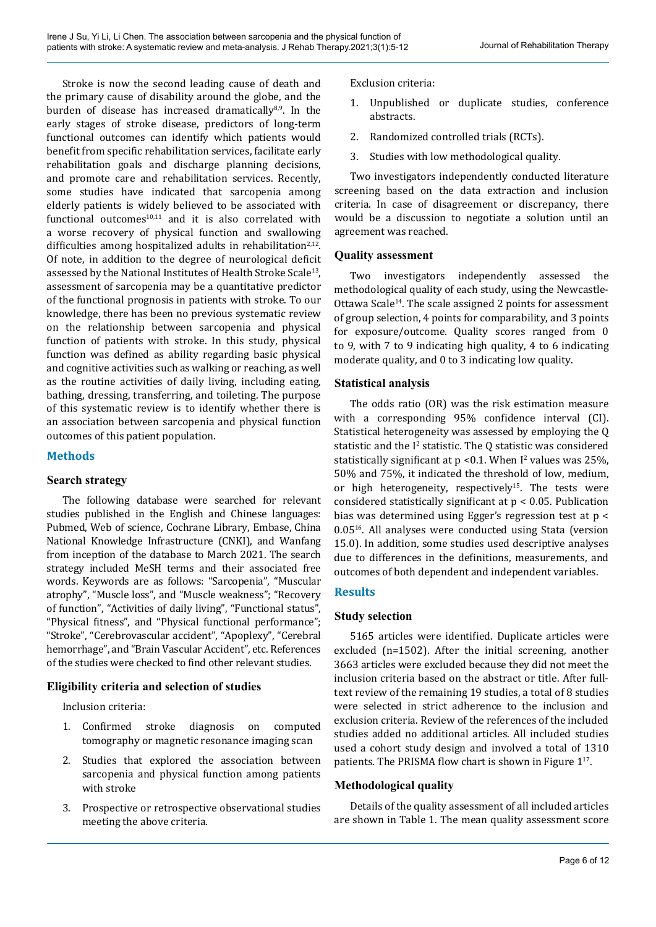Stroke is now the second leading cause of death and the primary cause of disability around the globe, and the burden of disease has increased dramatically $8,9$ . In the early stages of stroke disease, predictors of long-term functional outcomes can identify which patients would benefit from specific rehabilitation services, facilitate early rehabilitation goals and discharge planning decisions, and promote care and rehabilitation services. Recently, some studies have indicated that sarcopenia among elderly patients is widely believed to be associated with functional outcomes $10,11$  and it is also correlated with a worse recovery of physical function and swallowing difficulties among hospitalized adults in rehabilitation<sup>2,12</sup>. Of note, in addition to the degree of neurological deficit assessed by the National Institutes of Health Stroke Scale<sup>13</sup>, assessment of sarcopenia may be a quantitative predictor of the functional prognosis in patients with stroke. To our knowledge, there has been no previous systematic review on the relationship between sarcopenia and physical function of patients with stroke. In this study, physical function was defined as ability regarding basic physical and cognitive activities such as walking or reaching, as well as the routine activities of daily living, including eating, bathing, dressing, transferring, and toileting. The purpose of this systematic review is to identify whether there is an association between sarcopenia and physical function outcomes of this patient population.

# **Methods**

## **Search strategy**

The following database were searched for relevant studies published in the English and Chinese languages: Pubmed, Web of science, Cochrane Library, Embase, China National Knowledge Infrastructure (CNKI), and Wanfang from inception of the database to March 2021. The search strategy included MeSH terms and their associated free words. Keywords are as follows: "Sarcopenia", "Muscular atrophy", "Muscle loss", and "Muscle weakness"; "Recovery of function", "Activities of daily living", "Functional status", "Physical fitness", and "Physical functional performance"; "Stroke", "Cerebrovascular accident", "Apoplexy", "Cerebral hemorrhage", and "Brain Vascular Accident", etc. References of the studies were checked to find other relevant studies.

# **Eligibility criteria and selection of studies**

Inclusion criteria:

- 1. Confirmed stroke diagnosis on computed tomography or magnetic resonance imaging scan
- 2. Studies that explored the association between sarcopenia and physical function among patients with stroke
- 3. Prospective or retrospective observational studies meeting the above criteria.

Exclusion criteria:

- 1. Unpublished or duplicate studies, conference abstracts.
- 2. Randomized controlled trials (RCTs).
- 3. Studies with low methodological quality.

Two investigators independently conducted literature screening based on the data extraction and inclusion criteria. In case of disagreement or discrepancy, there would be a discussion to negotiate a solution until an agreement was reached.

## **Quality assessment**

Two investigators independently assessed the methodological quality of each study, using the Newcastle-Ottawa Scale<sup>14</sup>. The scale assigned 2 points for assessment of group selection, 4 points for comparability, and 3 points for exposure/outcome. Quality scores ranged from 0 to 9, with 7 to 9 indicating high quality, 4 to 6 indicating moderate quality, and 0 to 3 indicating low quality.

## **Statistical analysis**

The odds ratio (OR) was the risk estimation measure with a corresponding 95% confidence interval (CI). Statistical heterogeneity was assessed by employing the Q statistic and the  $I^2$  statistic. The Q statistic was considered statistically significant at  $p < 0.1$ . When I<sup>2</sup> values was 25%, 50% and 75%, it indicated the threshold of low, medium, or high heterogeneity, respectively<sup>15</sup>. The tests were considered statistically significant at p < 0.05. Publication bias was determined using Egger's regression test at p < 0.0516. All analyses were conducted using Stata (version 15.0). In addition, some studies used descriptive analyses due to differences in the definitions, measurements, and outcomes of both dependent and independent variables.

# **Results**

# **Study selection**

5165 articles were identified. Duplicate articles were excluded (n=1502). After the initial screening, another 3663 articles were excluded because they did not meet the inclusion criteria based on the abstract or title. After fulltext review of the remaining 19 studies, a total of 8 studies were selected in strict adherence to the inclusion and exclusion criteria. Review of the references of the included studies added no additional articles. All included studies used a cohort study design and involved a total of 1310 patients. The PRISMA flow chart is shown in Figure 1<sup>17</sup>.

# **Methodological quality**

Details of the quality assessment of all included articles are shown in Table 1. The mean quality assessment score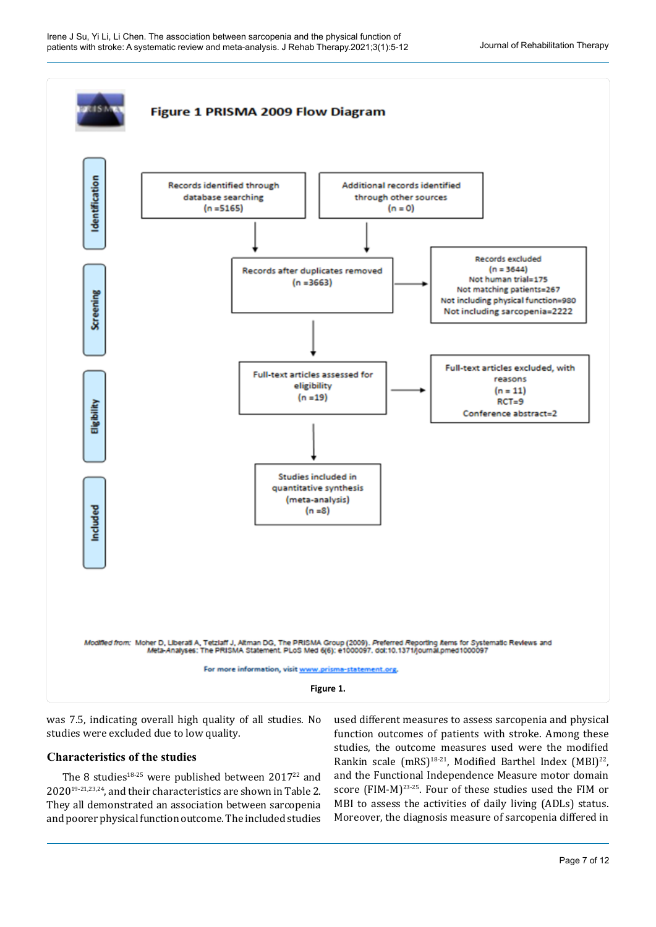

was 7.5, indicating overall high quality of all studies. No studies were excluded due to low quality.

## **Characteristics of the studies**

The 8 studies<sup>18-25</sup> were published between  $2017^{22}$  and 202019-21,23,24, and their characteristics are shown in Table 2. They all demonstrated an association between sarcopenia and poorer physical function outcome. The included studies

used different measures to assess sarcopenia and physical function outcomes of patients with stroke. Among these studies, the outcome measures used were the modified Rankin scale (mRS)<sup>18-21</sup>, Modified Barthel Index (MBI)<sup>22</sup>, and the Functional Independence Measure motor domain score (FIM-M)<sup>23-25</sup>. Four of these studies used the FIM or MBI to assess the activities of daily living (ADLs) status. Moreover, the diagnosis measure of sarcopenia differed in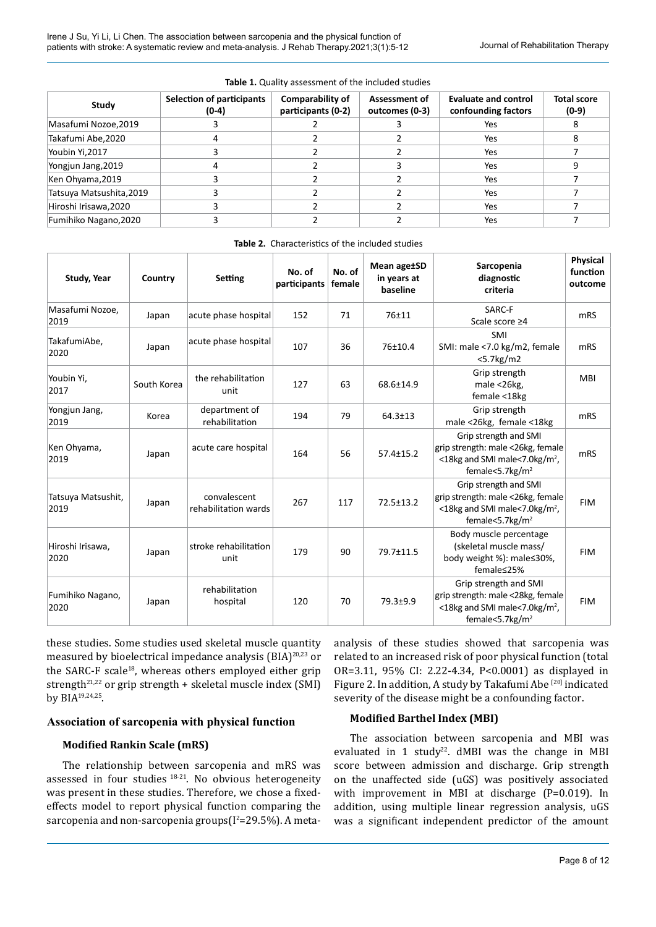| Study                    | <b>Selection of participants</b> | Comparability of   | <b>Assessment of</b><br>outcomes (0-3) | Evaluate and control<br>confounding factors | <b>Total score</b><br>$(0-9)$ |
|--------------------------|----------------------------------|--------------------|----------------------------------------|---------------------------------------------|-------------------------------|
|                          | $(0-4)$                          | participants (0-2) |                                        |                                             |                               |
| Masafumi Nozoe,2019      |                                  |                    |                                        | Yes                                         | ŏ                             |
| Takafumi Abe,2020        | 4                                |                    |                                        | Yes                                         | 8                             |
| Youbin Yi, 2017          |                                  |                    |                                        | Yes                                         |                               |
| Yongjun Jang, 2019       | 4                                |                    |                                        | Yes                                         |                               |
| Ken Ohyama, 2019         |                                  |                    |                                        | Yes                                         |                               |
| Tatsuya Matsushita, 2019 |                                  |                    |                                        | Yes                                         |                               |
| Hiroshi Irisawa, 2020    |                                  |                    |                                        | Yes                                         |                               |
| Fumihiko Nagano, 2020    |                                  |                    |                                        | Yes                                         |                               |

#### **Table 1.** Quality assessment of the included studies

| Study, Year                | Country     | Setting                              | No. of<br>participants | No. of<br>female | Mean age±SD<br>in years at<br>baseline | Sarcopenia<br>diagnostic<br>criteria                                                                                                 | Physical<br>function<br>outcome |
|----------------------------|-------------|--------------------------------------|------------------------|------------------|----------------------------------------|--------------------------------------------------------------------------------------------------------------------------------------|---------------------------------|
| Masafumi Nozoe,<br>2019    | Japan       | acute phase hospital                 | 152                    | 71               | 76±11                                  | SARC-F<br>Scale score ≥4                                                                                                             | m <sub>RS</sub>                 |
| TakafumiAbe,<br>2020       | Japan       | acute phase hospital                 | 107                    | 36               | 76±10.4                                | SMI<br>SMI: male <7.0 kg/m2, female<br>$<$ 5.7 $kg$ /m2                                                                              | mRS                             |
| Youbin Yi,<br>2017         | South Korea | the rehabilitation<br>unit           | 127                    | 63               | 68.6±14.9                              | Grip strength<br>male <26kg,<br>female <18kg                                                                                         | <b>MBI</b>                      |
| Yongjun Jang,<br>2019      | Korea       | department of<br>rehabilitation      | 194                    | 79               | $64.3 \pm 13$                          | Grip strength<br>male <26kg, female <18kg                                                                                            | mRS                             |
| Ken Ohyama,<br>2019        | Japan       | acute care hospital                  | 164                    | 56               | $57.4 \pm 15.2$                        | Grip strength and SMI<br>grip strength: male <26kg, female<br>$<$ 18kg and SMI male $<$ 7.0kg/m <sup>2</sup> ,<br>female<5.7 $kg/m2$ | mRS                             |
| Tatsuya Matsushit,<br>2019 | Japan       | convalescent<br>rehabilitation wards | 267                    | 117              | 72.5±13.2                              | Grip strength and SMI<br>grip strength: male <26kg, female<br><18kg and SMI male<7.0kg/m <sup>2</sup> ,<br>female<5.7 $kg/m2$        | <b>FIM</b>                      |
| Hiroshi Irisawa,<br>2020   | Japan       | stroke rehabilitation<br>unit        | 179                    | 90               | 79.7±11.5                              | Body muscle percentage<br>(skeletal muscle mass/<br>body weight %): male≤30%,<br>female≤25%                                          | <b>FIM</b>                      |
| Fumihiko Nagano,<br>2020   | Japan       | rehabilitation<br>hospital           | 120                    | 70               | 79.3±9.9                               | Grip strength and SMI<br>grip strength: male <28kg, female<br><18kg and SMI male<7.0kg/m <sup>2</sup> ,<br>female<5.7 $kg/m2$        | <b>FIM</b>                      |

**Table 2.** Characteristics of the included studies

these studies. Some studies used skeletal muscle [quantity](javascript:;)  measured by bioelectrical impedance analysis (BIA)<sup>20,23</sup> or the SARC-F scale $18$ , whereas others employed either grip strength<sup>21,22</sup> or grip strength + skeletal muscle index (SMI) by BIA19,24,25.

# **Association of sarcopenia with physical function**

## **Modified Rankin Scale (mRS)**

The relationship between sarcopenia and mRS was assessed in four studies  $18-21$ . No obvious heterogeneity was present in these studies. Therefore, we chose a fixedeffects model to report physical function comparing the  $\rm{sarcopenia}$  and  $\rm{non-sarcopenia}$  groups $\rm(I^2{=}29.5\%)$ . A metaanalysis of these studies showed that sarcopenia was related to an increased risk of poor physical function (total OR=3.11, 95% CI: 2.22-4.34, P<0.0001) as displayed in Figure 2. In addition, A study by Takafumi Abe<sup>[20]</sup> indicated severity of the disease might be a confounding factor.

# **Modified Barthel Index (MBI)**

The association between sarcopenia and MBI was evaluated in 1 study<sup>22</sup>.  $dMBI$  was the change in MBI score between admission and discharge. Grip strength on the unaffected side (uGS) was positively associated with improvement in MBI at discharge (P=0.019). In addition, using multiple linear regression analysis, uGS was a significant independent predictor of the amount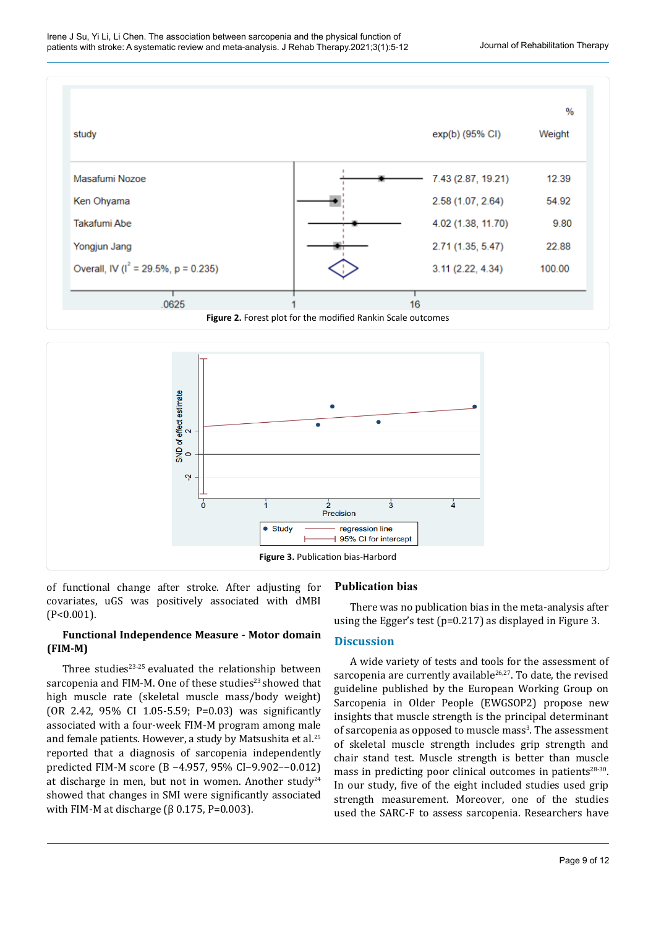



of functional change after stroke. After adjusting for covariates, uGS was positively associated with dMBI (P<0.001).

# **Functional Independence Measure - Motor domain (FIM-M)**

Three studies $23-25$  evaluated the relationship between sarcopenia and FIM-M. One of these studies<sup>23</sup> showed that high muscle rate (skeletal muscle mass/body weight) (OR 2.42, 95% CI 1.05-5.59; P=0.03) was significantly associated with a four-week FIM-M program among male and female patients. However, a study by Matsushita et al.<sup>25</sup> reported that a diagnosis of sarcopenia independently predicted FIM-M score (B −4.957, 95% CI−9.902–−0.012) at discharge in men, but not in women. Another study<sup>24</sup> showed that changes in SMI were significantly associated with FIM-M at discharge ( $β$  0.175, P=0.003).

# **Publication bias**

There was no publication bias in the meta-analysis after using the Egger's test (p=0.217) as displayed in Figure 3.

## **Discussion**

A wide variety of tests and tools for the assessment of sarcopenia are currently available<sup>26,27</sup>. To date, the revised guideline published by the European Working Group on Sarcopenia in Older People (EWGSOP2) propose new insights that muscle strength is the principal determinant of sarcopenia as opposed to muscle mass<sup>3</sup>. The assessment of skeletal muscle strength includes grip strength and chair stand test. Muscle strength is better than muscle mass in predicting poor clinical outcomes in patients<sup>28-30</sup>. In our study, five of the eight included studies used grip strength measurement. Moreover, one of the studies used the SARC-F to assess sarcopenia. Researchers have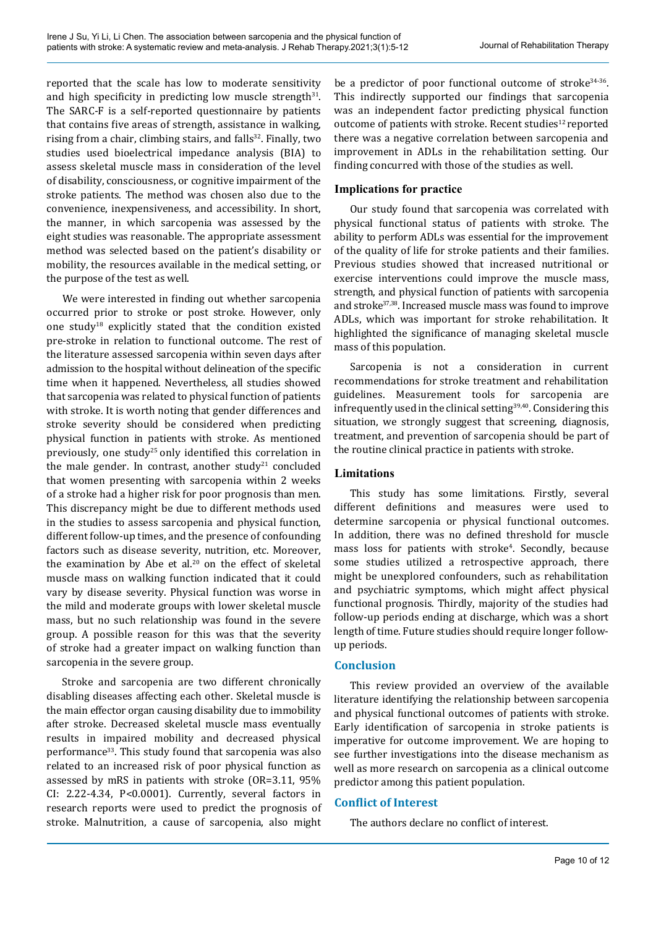reported that the scale has low to moderate sensitivity and high specificity in predicting low muscle strength $31$ . The SARC-F is a self-reported questionnaire by patients that contains five areas of strength, assistance in walking, rising from a chair, climbing stairs, and falls<sup>32</sup>. Finally, two studies used bioelectrical impedance analysis (BIA) to assess skeletal muscle mass in consideration of the level of disability, consciousness, or cognitive impairment of the stroke patients. The method was chosen also due to the convenience, inexpensiveness, and accessibility. In short, the manner, in which sarcopenia was assessed by the eight studies was reasonable. The appropriate assessment method was selected based on the patient's disability or mobility, the resources available in the medical setting, or the purpose of the test as well.

We were interested in finding out whether sarcopenia occurred prior to stroke or post stroke. However, only one study18 explicitly stated that the condition existed pre-stroke in relation to functional outcome. The rest of the literature assessed sarcopenia within seven days after admission to the hospital without delineation of the specific time when it happened. Nevertheless, all studies showed that sarcopenia was related to physical function of patients with stroke. It is worth noting that gender differences and stroke severity should be considered when predicting physical function in patients with stroke. As mentioned previously, one study<sup>25</sup> only identified this correlation in the male gender. In contrast, another study<sup>21</sup> concluded that women presenting with sarcopenia within 2 weeks of a stroke had a higher risk for poor prognosis than men. This discrepancy might be due to different methods used in the studies to assess sarcopenia and physical function, different follow-up times, and the presence of confounding factors such as disease severity, nutrition, etc. Moreover, the examination by Abe et al. $20$  on the effect of skeletal muscle mass on walking function indicated that it could vary by disease severity. Physical function was worse in the mild and moderate groups with lower skeletal muscle mass, but no such relationship was found in the severe group. A possible reason for this was that the severity of stroke had a greater impact on walking function than sarcopenia in the severe group.

Stroke and sarcopenia are two different chronically disabling diseases affecting each other. Skeletal muscle is the main effector organ causing disability due to immobility after stroke. Decreased skeletal muscle mass eventually results in impaired mobility and decreased physical performance<sup>33</sup>. This study found that sarcopenia was also related to an increased risk of poor physical function as assessed by mRS in patients with stroke (OR=3.11, 95% CI: 2.22-4.34, P<0.0001). Currently, several factors in research reports were used to predict the prognosis of stroke. Malnutrition, a cause of sarcopenia, also might be a predictor of poor functional outcome of stroke<sup>34-36</sup>. This indirectly supported our findings that sarcopenia was an independent factor predicting physical function outcome of patients with stroke. Recent studies<sup>12</sup> reported there was a negative correlation between sarcopenia and improvement in ADLs in the rehabilitation setting. Our finding concurred with those of the studies as well.

# **Implications for practice**

Our study found that sarcopenia was correlated with physical functional status of patients with stroke. The ability to perform ADLs was essential for the improvement of the quality of life for stroke patients and their families. Previous studies showed that increased nutritional or exercise interventions could improve the muscle mass, strength, and physical function of patients with sarcopenia and stroke<sup>37,38</sup>. Increased muscle mass was found to improve ADLs, which was important for stroke rehabilitation. It highlighted the significance of managing skeletal muscle mass of this population.

Sarcopenia is not a consideration in current recommendations for stroke treatment and rehabilitation guidelines. Measurement tools for sarcopenia are infrequently used in the clinical setting $39,40$ . Considering this situation, we strongly suggest that screening, diagnosis, treatment, and prevention of sarcopenia should be part of the routine clinical practice in patients with stroke.

# **Limitations**

This study has some limitations. Firstly, several different definitions and measures were used to determine sarcopenia or physical functional outcomes. In addition, there was no defined threshold for muscle mass loss for patients with stroke<sup>4</sup>. Secondly, because some studies utilized a retrospective approach, there might be unexplored confounders, such as rehabilitation and psychiatric symptoms, which might affect physical functional prognosis. Thirdly, majority of the studies had follow-up periods ending at discharge, which was a short length of time. Future studies should require longer followup periods.

# **Conclusion**

This review provided an overview of the available literature identifying the relationship between sarcopenia and physical functional outcomes of patients with stroke. Early identification of sarcopenia in stroke patients is imperative for outcome improvement. We are hoping to see further investigations into the disease mechanism as well as more research on sarcopenia as a clinical outcome predictor among this patient population.

# **Conflict of Interest**

The authors declare no conflict of interest.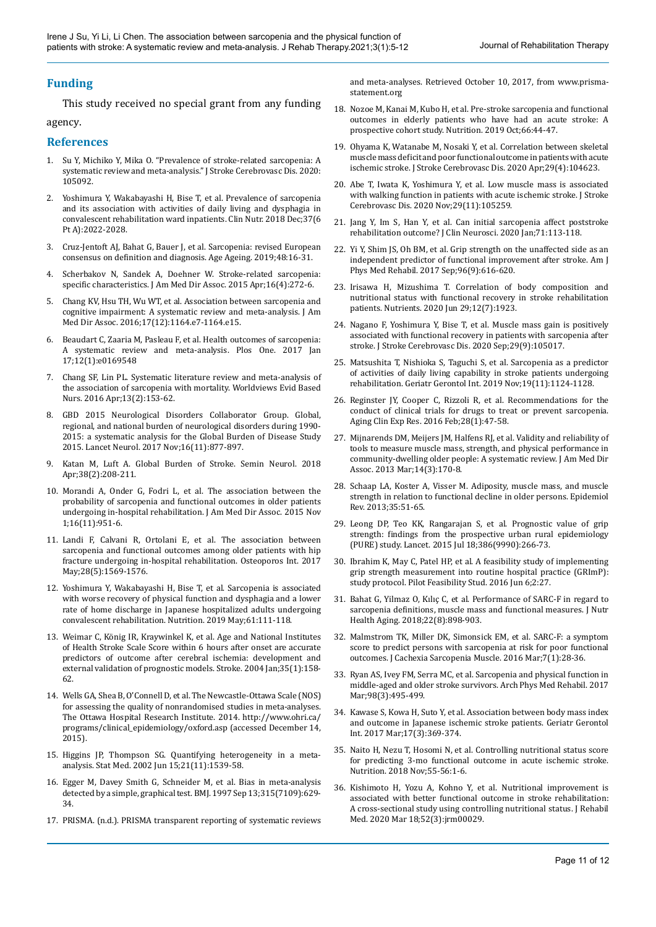## **Funding**

This study received no special grant from any funding agency.

#### **References**

- 1. Su Y, Michiko Y, Mika O. "Prevalence of stroke-related sarcopenia: A systematic review and meta-analysis." J Stroke Cerebrovasc Dis. 2020: 105092.
- 2. Yoshimura Y, Wakabayashi H, Bise T, et al. Prevalence of sarcopenia and its association with activities of daily living and dysphagia in convalescent rehabilitation ward inpatients. Clin Nutr. 2018 Dec;37(6 Pt A):2022-2028.
- 3. Cruz-Jentoft AJ, Bahat G, Bauer J, et al. Sarcopenia: revised European consensus on definition and diagnosis. Age Ageing. 2019;48:16-31.
- 4. Scherbakov N, Sandek A, Doehner W. Stroke-related sarcopenia: specific characteristics. J Am Med Dir Assoc. 2015 Apr;16(4):272-6.
- 5. Chang KV, Hsu TH, Wu WT, et al. Association between sarcopenia and cognitive impairment: A systematic review and meta-analysis. J Am Med Dir Assoc. 2016;17(12):1164.e7-1164.e15.
- 6. Beaudart C, Zaaria M, Pasleau F, et al. Health outcomes of sarcopenia: A systematic review and meta-analysis. Plos One. 2017 Jan 17;12(1):e0169548
- 7. Chang SF, Lin PL. Systematic literature review and meta-analysis of the association of sarcopenia with mortality. Worldviews Evid Based Nurs. 2016 Apr;13(2):153-62.
- 8. GBD 2015 Neurological Disorders Collaborator Group. Global, regional, and national burden of neurological disorders during 1990- 2015: a systematic analysis for the Global Burden of Disease Study 2015. Lancet Neurol. 2017 Nov;16(11):877-897.
- 9. Katan M, Luft A. Global Burden of Stroke. Semin Neurol. 2018 Apr;38(2):208-211.
- 10. Morandi A, Onder G, Fodri L, et al. The association between the probability of sarcopenia and functional outcomes in older patients undergoing in-hospital rehabilitation. J Am Med Dir Assoc. 2015 Nov 1;16(11):951-6.
- 11. Landi F, Calvani R, Ortolani E, et al. The association between sarcopenia and functional outcomes among older patients with hip fracture undergoing in-hospital rehabilitation. Osteoporos Int. 2017 May;28(5):1569-1576.
- 12. Yoshimura Y, Wakabayashi H, Bise T, et al. Sarcopenia is associated with worse recovery of physical function and dysphagia and a lower rate of home discharge in Japanese hospitalized adults undergoing convalescent rehabilitation. Nutrition. 2019 May;61:111-118.
- 13. Weimar C, König IR, Kraywinkel K, et al. Age and National Institutes of Health Stroke Scale Score within 6 hours after onset are accurate predictors of outcome after cerebral ischemia: development and external validation of prognostic models. Stroke. 2004 Jan;35(1):158- 62.
- 14. Wells GA, Shea B, O'Connell D, et al. The Newcastle-Ottawa Scale (NOS) for assessing the quality of nonrandomised studies in meta-analyses. The Ottawa Hospital Research Institute. 2014. http://www.ohri.ca/ programs/clinical\_epidemiology/oxford.asp (accessed December 14, 2015).
- 15. Higgins JP, Thompson SG. Quantifying heterogeneity in a metaanalysis. Stat Med. 2002 Jun 15;21(11):1539-58.
- 16. Egger M, Davey Smith G, Schneider M, et al. Bias in meta-analysis detected by a simple, graphical test. BMJ. 1997 Sep 13;315(7109):629- 34.
- 17. PRISMA. (n.d.). PRISMA transparent reporting of systematic reviews

and meta-analyses. Retrieved October 10, 2017, from [www.prisma](http://www.prisma-statement.org)[statement.org](http://www.prisma-statement.org)

- 18. Nozoe M, Kanai M, Kubo H, et al. Pre-stroke sarcopenia and functional outcomes in elderly patients who have had an acute stroke: A prospective cohort study. Nutrition. 2019 Oct;66:44-47.
- 19. Ohyama K, Watanabe M, Nosaki Y, et al. Correlation between skeletal muscle mass deficit and poor functional outcome in patients with acute ischemic stroke. J Stroke Cerebrovasc Dis. 2020 Apr;29(4):104623.
- 20. Abe T, Iwata K, Yoshimura Y, et al. Low muscle mass is associated with walking function in patients with acute ischemic stroke. J Stroke Cerebrovasc Dis. 2020 Nov;29(11):105259.
- 21. Jang Y, Im S, Han Y, et al. Can initial sarcopenia affect poststroke rehabilitation outcome? J Clin Neurosci. 2020 Jan;71:113-118.
- 22. Yi Y, Shim JS, Oh BM, et al. Grip strength on the unaffected side as an independent predictor of functional improvement after stroke. Am J Phys Med Rehabil. 2017 Sep;96(9):616-620.
- 23. Irisawa H, Mizushima T. Correlation of body composition and nutritional status with functional recovery in stroke rehabilitation patients. Nutrients. 2020 Jun 29;12(7):1923.
- 24. Nagano F, Yoshimura Y, Bise T, et al. Muscle mass gain is positively associated with functional recovery in patients with sarcopenia after stroke. J Stroke Cerebrovasc Dis. 2020 Sep;29(9):105017.
- 25. Matsushita T, Nishioka S, Taguchi S, et al. Sarcopenia as a predictor of activities of daily living capability in stroke patients undergoing rehabilitation. Geriatr Gerontol Int. 2019 Nov;19(11):1124-1128.
- 26. Reginster JY, Cooper C, Rizzoli R, et al. Recommendations for the conduct of clinical trials for drugs to treat or prevent sarcopenia. Aging Clin Exp Res. 2016 Feb;28(1):47-58.
- 27. Mijnarends DM, Meijers JM, Halfens RJ, et al. Validity and reliability of tools to measure muscle mass, strength, and physical performance in community-dwelling older people: A systematic review. J Am Med Dir Assoc. 2013 Mar;14(3):170-8.
- 28. Schaap LA, Koster A, Visser M. Adiposity, muscle mass, and muscle strength in relation to functional decline in older persons. Epidemiol Rev. 2013;35:51-65.
- 29. Leong DP, Teo KK, Rangarajan S, et al. Prognostic value of grip strength: findings from the prospective urban rural epidemiology (PURE) study. Lancet. 2015 Jul 18;386(9990):266-73.
- 30. Ibrahim K, May C, Patel HP, et al. A feasibility study of implementing grip strength measurement into routine hospital practice (GRImP): study protocol. Pilot Feasibility Stud. 2016 Jun 6;2:27.
- 31. Bahat G, Yilmaz O, Kılıç C, et al. Performance of SARC-F in regard to sarcopenia definitions, muscle mass and functional measures. J Nutr Health Aging. 2018;22(8):898-903.
- 32. Malmstrom TK, Miller DK, Simonsick EM, et al. SARC-F: a symptom score to predict persons with sarcopenia at risk for poor functional outcomes. J Cachexia Sarcopenia Muscle. 2016 Mar;7(1):28-36.
- 33. Ryan AS, Ivey FM, Serra MC, et al. Sarcopenia and physical function in middle-aged and older stroke survivors. Arch Phys Med Rehabil. 2017 Mar;98(3):495-499.
- 34. Kawase S, Kowa H, Suto Y, et al. Association between body mass index and outcome in Japanese ischemic stroke patients. Geriatr Gerontol Int. 2017 Mar;17(3):369-374.
- 35. Naito H, Nezu T, Hosomi N, et al. Controlling nutritional status score for predicting 3-mo functional outcome in acute ischemic stroke. Nutrition. 2018 Nov;55-56:1-6.
- 36. Kishimoto H, Yozu A, Kohno Y, et al. Nutritional improvement is associated with better functional outcome in stroke rehabilitation: A cross-sectional study using controlling nutritional status. J Rehabil Med. 2020 Mar 18;52(3):jrm00029.